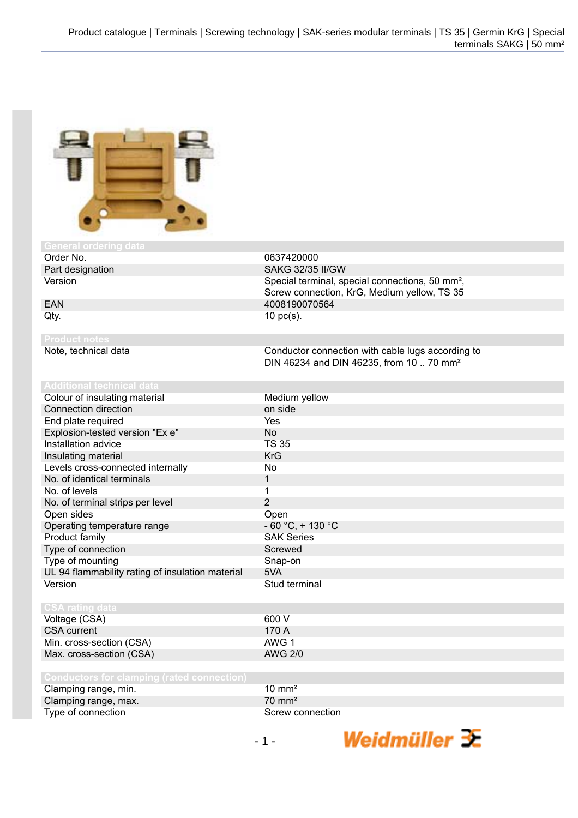

General ordering dat<br>**Order No.** Order No. 6637420000<br>
Part designation and the Contract of SAKG 32/35

**Product notes**

**SAKG 32/35 II/GW** Version **Special terminal, special connections**, 50 mm<sup>2</sup>, Screw connection, KrG, Medium yellow, TS 35 EAN 4008190070564  $Qty.$  10 pc(s).

> Conductor connection with cable lugs according to DIN 46234 and DIN 46235, from 10 .. 70 mm²

> > Weidmüller  $\mathcal{\mathcal{F}}$

| Medium yellow        |
|----------------------|
| on side              |
| <b>Yes</b>           |
| No.                  |
| TS 35                |
| <b>KrG</b>           |
| No.                  |
| 1                    |
| 1                    |
| 2                    |
| Open                 |
| $-60 °C$ , $+130 °C$ |
| <b>SAK Series</b>    |
| Screwed              |
| Snap-on              |
| 5VA                  |
| Stud terminal        |
|                      |
|                      |
|                      |

| Voltage (CSA)            | 600 V   |
|--------------------------|---------|
| CSA current              | 170 A   |
| Min. cross-section (CSA) | AWG 1   |
| Max. cross-section (CSA) | AWG 2/0 |

| <b>Conductors for clamping (rated connection)</b> |                   |
|---------------------------------------------------|-------------------|
| Clamping range, min.                              | $10 \text{ mm}^2$ |
| Clamping range, max.                              | $70 \text{ mm}^2$ |
| Type of connection                                | Screw connection  |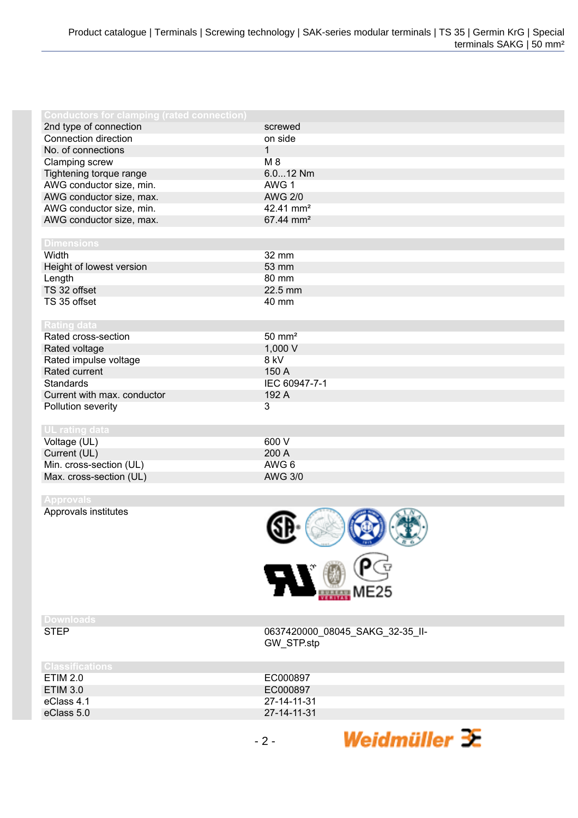| <b>Conductors for clamping (rated connection)</b> |                       |
|---------------------------------------------------|-----------------------|
| 2nd type of connection                            | screwed               |
| Connection direction                              | on side               |
| No. of connections                                | 1                     |
| Clamping screw                                    | $M_8$                 |
| Tightening torque range                           | 6.012 Nm              |
| AWG conductor size, min.                          | AWG 1                 |
| AWG conductor size, max.                          | <b>AWG 2/0</b>        |
| AWG conductor size, min.                          | 42.41 mm <sup>2</sup> |
| AWG conductor size, max.                          | 67.44 mm <sup>2</sup> |
|                                                   |                       |
| <b>Dimensions</b>                                 |                       |
| Width                                             | 32 mm                 |
| Height of lowest version                          | 53 mm                 |
| Length                                            | 80 mm                 |
| TS 32 offset                                      | 22.5 mm               |
| TS 35 offset                                      | 40 mm                 |
|                                                   |                       |
| <b>Rating data</b>                                |                       |
| Rated cross-section                               | $50 \text{ mm}^2$     |
| Rated voltage                                     | 1,000 V               |
| Rated impulse voltage                             | 8 kV                  |
| Rated current                                     | 150 A                 |
| <b>Standards</b>                                  | IEC 60947-7-1         |
| Current with max. conductor                       | 192 A                 |
| Pollution severity                                | 3                     |
|                                                   |                       |
| UL rating data                                    |                       |
| Voltage (UL)                                      | 600 V                 |
| Current (UL)                                      | 200 A                 |
| Min. cross-section (UL)                           | AWG 6                 |
| Max. cross-section (UL)                           | <b>AWG 3/0</b>        |

Approvals institutes



**Downloads**

0637420000\_08045\_SAKG\_32-35\_II-GW\_STP.stp

Weidmüller  $\mathcal{\mathcal{F}}$ 

| <b>Classifications</b> |             |
|------------------------|-------------|
| ETIM 2.0               | EC000897    |
| ETIM 3.0               | EC000897    |
| eClass 4.1             | 27-14-11-31 |
| eClass 5.0             | 27-14-11-31 |